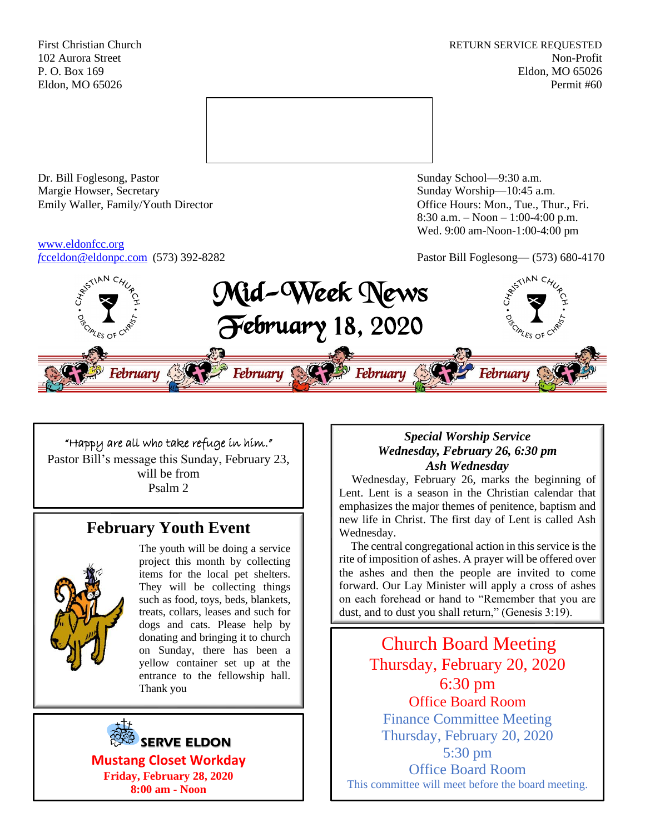First Christian Church **RETURN SERVICE REQUESTED** 102 Aurora Street Non-Profit P. O. Box 169 Eldon, MO 65026 Eldon, MO 65026 Permit #60



Dr. Bill Foglesong, Pastor Sunday School—9:30 a.m. Margie Howser, Secretary Sunday Worship—10:45 a.m. Emily Waller, Family/Youth Director **Containers** Office Hours: Mon., Tue., Thur., Fri.

# [www.eldonfcc.org](http://www.eldonfcc.org/)

8:30 a.m. – Noon – 1:00-4:00 p.m. Wed. 9:00 am-Noon-1:00-4:00 pm

*f*[cceldon@eldonpc.com](mailto:fcceldon@eldonpc.com) (573) 392-8282 Pastor Bill Foglesong— (573) 680-4170



## "Happy are all who take refuge in him." Pastor Bill's message this Sunday, February 23, will be from Psalm 2

## **February Youth Event**



The youth will be doing a service project this month by collecting items for the local pet shelters. They will be collecting things such as food, toys, beds, blankets, treats, collars, leases and such for dogs and cats. Please help by donating and bringing it to church on Sunday, there has been a yellow container set up at the entrance to the fellowship hall. Thank you



**Friday, February 28, 2020 8:00 am - Noon**

## *Special Worship Service Wednesday, February 26, 6:30 pm Ash Wednesday*

 Wednesday, February 26, marks the beginning of Lent. Lent is a season in the Christian calendar that emphasizes the major themes of penitence, baptism and new life in Christ. The first day of Lent is called Ash Wednesday.

 The central congregational action in this service is the rite of imposition of ashes. A prayer will be offered over the ashes and then the people are invited to come forward. Our Lay Minister will apply a cross of ashes on each forehead or hand to "Remember that you are dust, and to dust you shall return," (Genesis 3:19).

Church Board Meeting Thursday, February 20, 2020 6:30 pm Office Board Room Finance Committee Meeting Thursday, February 20, 2020 5:30 pm Office Board Room This committee will meet before the board meeting.